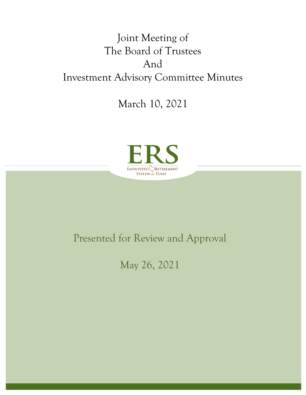# Joint Meeting of The Board of Trustees And Investment Advisory Committee Minutes

March 10, 2021



# Presented for Review and Approval

May 26, 2021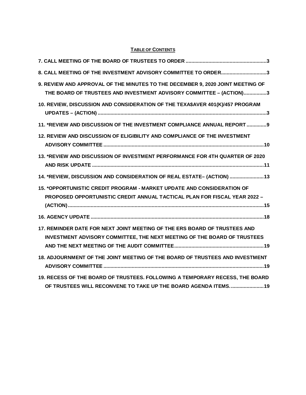# **TABLE OF CONTENTS**

| 8. CALL MEETING OF THE INVESTMENT ADVISORY COMMITTEE TO ORDER3                                                                                               |
|--------------------------------------------------------------------------------------------------------------------------------------------------------------|
| 9. REVIEW AND APPROVAL OF THE MINUTES TO THE DECEMBER 9, 2020 JOINT MEETING OF<br>THE BOARD OF TRUSTEES AND INVESTMENT ADVISORY COMMITTEE - (ACTION)3        |
| 10. REVIEW, DISCUSSION AND CONSIDERATION OF THE TEXA\$AVER 401(K)/457 PROGRAM                                                                                |
| 11. *REVIEW AND DISCUSSION OF THE INVESTMENT COMPLIANCE ANNUAL REPORT 9                                                                                      |
| 12. REVIEW AND DISCUSSION OF ELIGIBILITY AND COMPLIANCE OF THE INVESTMENT                                                                                    |
| 13. *REVIEW AND DISCUSSION OF INVESTMENT PERFORMANCE FOR 4TH QUARTER OF 2020                                                                                 |
| 14. *REVIEW, DISCUSSION AND CONSIDERATION OF REAL ESTATE- (ACTION)  13                                                                                       |
| 15. *OPPORTUNISTIC CREDIT PROGRAM - MARKET UPDATE AND CONSIDERATION OF<br><b>PROPOSED OPPORTUNISTIC CREDIT ANNUAL TACTICAL PLAN FOR FISCAL YEAR 2022 -</b>   |
|                                                                                                                                                              |
| 17. REMINDER DATE FOR NEXT JOINT MEETING OF THE ERS BOARD OF TRUSTEES AND<br><b>INVESTMENT ADVISORY COMMITTEE, THE NEXT MEETING OF THE BOARD OF TRUSTEES</b> |
| 18. ADJOURNMENT OF THE JOINT MEETING OF THE BOARD OF TRUSTEES AND INVESTMENT                                                                                 |
| 19. RECESS OF THE BOARD OF TRUSTEES. FOLLOWING A TEMPORARY RECESS, THE BOARD<br>OF TRUSTEES WILL RECONVENE TO TAKE UP THE BOARD AGENDA ITEMS.  19            |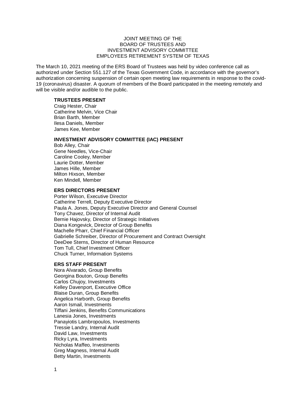### JOINT MEETING OF THE BOARD OF TRUSTEES AND INVESTMENT ADVISORY COMMITTEE EMPLOYEES RETIREMENT SYSTEM OF TEXAS

The March 10, 2021 meeting of the ERS Board of Trustees was held by video conference call as authorized under Section 551.127 of the Texas Government Code, in accordance with the governor's authorization concerning suspension of certain open meeting law requirements in response to the covid-19 (coronavirus) disaster. A quorum of members of the Board participated in the meeting remotely and will be visible and/or audible to the public.

#### **TRUSTEES PRESENT**

Craig Hester, Chair Catherine Melvin, Vice Chair Brian Barth, Member Ilesa Daniels, Member James Kee, Member

#### **INVESTMENT ADVISORY COMMITTEE (IAC) PRESENT**

Bob Alley, Chair Gene Needles, Vice-Chair Caroline Cooley, Member Laurie Dotter, Member James Hille, Member Milton Hixson, Member Ken Mindell, Member

# **ERS DIRECTORS PRESENT**

Porter Wilson, Executive Director Catherine Terrell, Deputy Executive Director Paula A. Jones, Deputy Executive Director and General Counsel Tony Chavez, Director of Internal Audit Bernie Hajovsky, Director of Strategic Initiatives Diana Kongevick, Director of Group Benefits Machelle Pharr, Chief Financial Officer Gabrielle Schreiber, Director of Procurement and Contract Oversight DeeDee Sterns, Director of Human Resource Tom Tull, Chief Investment Officer Chuck Turner, Information Systems

#### **ERS STAFF PRESENT**

Nora Alvarado, Group Benefits Georgina Bouton, Group Benefits Carlos Chujoy, Investments Kelley Davenport, Executive Office Blaise Duran, Group Benefits Angelica Harborth, Group Benefits Aaron Ismail, Investments Tiffani Jenkins, Benefits Communications Lanesia Jones, Investments Panayiotis Lambropoulos, Investments Tressie Landry, Internal Audit David Law, Investments Ricky Lyra, Investments Nicholas Maffeo, Investments Greg Magness, Internal Audit Betty Martin, Investments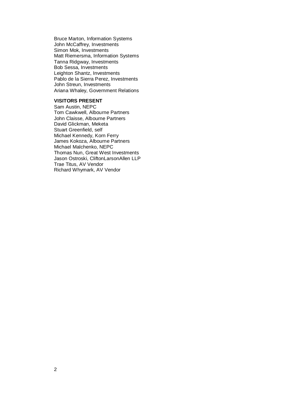Bruce Marton, Information Systems John McCaffrey, Investments Simon Mok, Investments Matt Riemersma, Information Systems Tanna Ridgway, Investments Bob Sessa, Investments Leighton Shantz, Investments Pablo de la Sierra Perez, Investments John Streun, Investments Ariana Whaley, Government Relations

### **VISITORS PRESENT**

Sam Austin, NEPC Tom Cawkwell, Albourne Partners John Claisse, Albourne Partners David Glickman, Meketa Stuart Greenfield, self Michael Kennedy, Korn Ferry James Kokoza, Albourne Partners Michael Malchenko, NEPC Thomas Nun, Great West Investments Jason Ostroski, CliftonLarsonAllen LLP Trae Titus, AV Vendor Richard Whymark, AV Vendor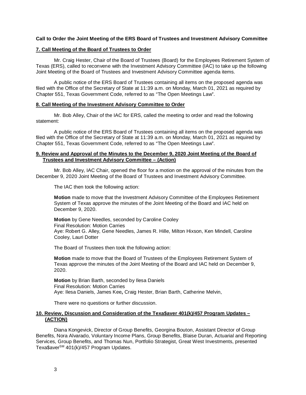# **Call to Order the Joint Meeting of the ERS Board of Trustees and Investment Advisory Committee**

# <span id="page-4-0"></span>**7. Call Meeting of the Board of Trustees to Order**

Mr. Craig Hester, Chair of the Board of Trustees (Board) for the Employees Retirement System of Texas (ERS), called to reconvene with the Investment Advisory Committee (IAC) to take up the following Joint Meeting of the Board of Trustees and Investment Advisory Committee agenda items.

A public notice of the ERS Board of Trustees containing all items on the proposed agenda was filed with the Office of the Secretary of State at 11:39 a.m. on Monday, March 01, 2021 as required by Chapter 551, Texas Government Code, referred to as "The Open Meetings Law".

### <span id="page-4-1"></span>**8. Call Meeting of the Investment Advisory Committee to Order**

Mr. Bob Alley, Chair of the IAC for ERS, called the meeting to order and read the following statement:

A public notice of the ERS Board of Trustees containing all items on the proposed agenda was filed with the Office of the Secretary of State at 11:39 a.m. on Monday, March 01, 2021 as required by Chapter 551, Texas Government Code, referred to as "The Open Meetings Law".

#### <span id="page-4-2"></span>**9. Review and Approval of the Minutes to the December 9, 2020 Joint Meeting of the Board of Trustees and Investment Advisory Committee – (Action)**

Mr. Bob Alley, IAC Chair, opened the floor for a motion on the approval of the minutes from the December 9, 2020 Joint Meeting of the Board of Trustees and Investment Advisory Committee.

The IAC then took the following action:

**Motion** made to move that the Investment Advisory Committee of the Employees Retirement System of Texas approve the minutes of the Joint Meeting of the Board and IAC held on December 9, 2020.

**Motion** by Gene Needles, seconded by Caroline Cooley Final Resolution: Motion Carries Aye: Robert G. Alley, Gene Needles, James R. Hille, Milton Hixson, Ken Mindell, Caroline Cooley, Lauri Dotter

The Board of Trustees then took the following action:

**Motion** made to move that the Board of Trustees of the Employees Retirement System of Texas approve the minutes of the Joint Meeting of the Board and IAC held on December 9, 2020.

**Motion** by Brian Barth, seconded by Ilesa Daniels Final Resolution: Motion Carries Aye: Ilesa Daniels, James Kee**,** Craig Hester, Brian Barth, Catherine Melvin,

There were no questions or further discussion.

#### <span id="page-4-3"></span>**10. Review, Discussion and Consideration of the Texa\$aver 401(k)/457 Program Updates – (ACTION)**

Diana Kongevick, Director of Group Benefits, Georgina Bouton, Assistant Director of Group Benefits, Nora Alvarado, Voluntary Income Plans, Group Benefits, Blaise Duran, Actuarial and Reporting Services, Group Benefits, and Thomas Nun, Portfolio Strategist, Great West Investments, presented Texa\$aver<sup>SM</sup> 401(k)/457 Program Updates.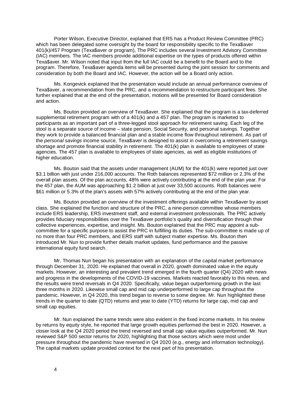Porter Wilson, Executive Director, explained that ERS has a Product Review Committee (PRC) which has been delegated some oversight by the board for responsibility specific to the Texa\$aver 401(k)/457 Program (Texa\$aver or program), The PRC includes several Investment Advisory Committee (IAC) members. The IAC members provide additional expertise on the types of products offered within Texa\$aver. Mr. Wilson noted that input from the full IAC could be a benefit to the Board and to the program. Therefore, Texa\$aver agenda items will be presented during the joint session for comments and consideration by both the Board and IAC. However, the action will be a Board only action.

Ms. Kongevick explained that the presentation would include an annual performance overview of Texa\$aver, a recommendation from the PRC, and a recommendation to restructure participant fees. She further explained that at the end of the presentation, motions will be presented for Board consideration and action.

Ms. Bouton provided an overview of Texa\$aver. She explained that the program is a tax-deferred supplemental retirement program with of a 401(k) and a 457 plan. The program is marketed to participants as an important part of a three-legged stool approach for retirement saving. Each leg of the stool is a separate source of income – state pension, Social Security, and personal savings. Together they work to provide a balanced financial plan and a stable income flow throughout retirement. As part of the *personal savings* income source, Texa\$aver is designed to assist in overcoming a retirement savings shortage and promote financial stability in retirement. The 401(k) plan is available to employees of state agencies. The 457 plan is available to employees of state agencies, as well as eligible institutions of higher education.

Ms. Bouton said that the assets under management (AUM) for the 401(k) were reported just over \$3.1 billion with just under 216,000 accounts. The Roth balances represented \$72 million or 2.3% of the overall plan assets. Of the plan accounts, 48% were actively contributing at the end of the plan year. For the 457 plan, the AUM was approaching \$1.2 billion at just over 33,500 accounts. Roth balances were \$61 million or 5.3% of the plan's assets with 57% actively contributing at the end of the plan year.

Ms. Bouton provided an overview of the investment offerings available within Texa\$aver by asset class. She explained the function and structure of the PRC, a nine-person committee whose members include ERS leadership, ERS investment staff, and external investment professionals. The PRC actively provides fiduciary responsibilities over the Texa\$aver portfolio's quality and diversification through their collective experiences, expertise, and insight. Ms. Bouton explained that the PRC may appoint a subcommittee for a specific purpose to assist the PRC in fulfilling its duties. The sub-committee is made up of no more than four PRC members, and ERS staff with subject matter expertise. Ms. Bouton then introduced Mr. Nun to provide further details market updates, fund performance and the passive international equity fund search.

Mr. Thomas Nun began his presentation with an explanation of the capital market performance through December 31, 2020. He explained that overall in 2020, growth dominated value in the equity markets. However, an interesting and prevalent trend emerged in the fourth quarter (Q4) 2020 with news and progress in the developments of the COVID-19 vaccines. Markets reacted favorably to this news, and the results were trend reversals in Q4 2020. Specifically, value began outperforming growth in the last three months in 2020. Likewise small cap and mid cap underperformed to large cap throughout the pandemic. However, in Q4 2020, this trend began to reverse to some degree. Mr. Nun highlighted these trends in the quarter to date (QTD) returns and year to date (YTD) returns for large cap, mid cap and small cap equities.

Mr. Nun explained the same trends were also evident in the fixed income markets. In his review by returns by equity style, he reported that large growth equities performed the best in 2020. However, a closer look at the Q4 2020 period the trend reversed and small cap value equities outperformed. Mr. Nun reviewed S&P 500 sector returns for 2020, highlighting that those sectors which were most under pressure throughout the pandemic have reversed in Q4 2020 (e.g., energy and information technology). The capital markets update provided context for the next part of his presentation.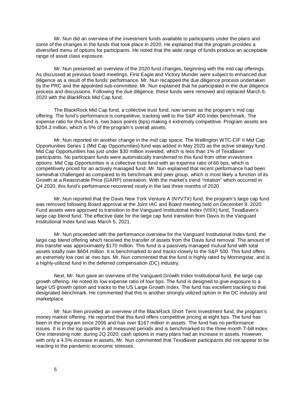Mr. Nun did an overview of the investment funds available to participants under the plans and some of the changes in the funds that took place in 2020. He explained that the program provides a diversified menu of options for participants. He noted that the wide range of funds produce an acceptable range of asset class exposure.

Mr. Nun presented an overview of the 2020 fund changes, beginning with the mid cap offerings. As discussed at previous board meetings, First Eagle and Victory Munder were subject to enhanced due diligence as a result of the funds' performance. Mr. Nun recapped the due diligence process undertaken by the PRC and the appointed sub-committee. Mr. Nun explained that he participated in the due diligence process and discussions. Following the due diligence, these funds were removed and replaced March 6, 2020 with the BlackRock Mid Cap fund.

The BlackRock Mid Cap fund, a collective trust fund, now serves as the program's mid cap offering. The fund's performance is competitive, tracking well to the S&P 400 Index benchmark. The expense ratio for this fund is -two basis points (bps) making it extremely competitive. Program assets are \$204.3 million, which is 5% of the program's overall assets.

Mr. Nun reported on another change in the mid cap space. The Wellington WTC-CIF II Mid Cap Opportunities Series 1 (Mid Cap Opportunities) fund was added in May 2020 as the active strategy fund. Mid Cap Opportunities has just under \$30 million invested, which is less than 1% of Texa\$aver participants. No participant funds were automatically transferred to this fund from other investment options. Mid Cap Opportunities is a collective trust fund with an expense ratio of 66 bps, which is competitively priced for an actively managed fund. Mr. Nun explained that recent performance had been somewhat challenged as compared to its benchmark and peer group, which is most likely a function of its Growth at a Reasonable Price (GARP) orientation. With the market's trend "rotation" which occurred in Q4 2020, this fund's performance recovered nicely in the last three months of 2020.

Mr. Nun reported that the Davis New York Venture A (NYVTX) fund, the program's large cap fund was removed following Board approval at the Joint IAC and Board meeting held on December 9, 2020. Fund assets were approved to transition to the Vanguard Institutional Index (VIIIX) fund, Texa\$aver's large cap blend fund. The effective date for the large cap fund transition from Davis to the Vanguard Institutional Index fund was March 5, 2021.

Mr. Nun proceeded with the performance overview for the Vanguard Institutional Index fund, the large cap blend offering which received the transfer of assets from the Davis fund removal. The amount of this transfer was approximately \$170 million. This fund is a passively managed mutual fund with total assets totally over \$604 million. It is benchmarked to and tracks closely to the S&P 500. This fund offers an extremely low cost at -two bps. Mr. Nun commented that the fund is highly rated by Morningstar, and is a highly-utilized fund in the deferred compensation (DC) industry.

Next, Mr. Nun gave an overview of the Vanguard Growth Index Institutional fund, the large cap growth offering. He noted its low expense ratio of four bps. The fund is designed to give exposure to a large US growth option and tracks to the US Large Growth Index. The fund has excellent tracking to that designated benchmark. He commented that this is another strongly utilized option in the DC industry and marketplace.

Mr. Nun then provided an overview of the BlackRock Short Term Investment fund, the program's money market offering. He reported that this fund offers competitive pricing at eight bps. The fund has been in the program since 2006 and has over \$167 million in assets. The fund has no performance issues. It is in the top quartile in all measured periods and is benchmarked to the three month T-bill index. One interesting note: during 2Q 2020, cash options in many plans had an increase in assets. However, with only a 4.5% increase in assets, Mr. Nun commented that Texa\$aver participants did not appear to be reacting to the pandemic economic stresses.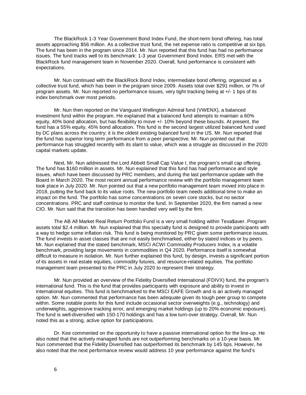The BlackRock 1-3 Year Government Bond Index Fund, the short-term bond offering, has total assets approaching \$56 million. As a collective trust fund, the net expense ratio is competitive at six bps. The fund has been in the program since 2014. Mr. Nun reported that this fund has had no performance issues. The fund tracks well to its benchmark: 1-3 year Government Bond Index. ERS met with the BlackRock fund management team in November 2020. Overall, fund performance is consistent with expectations.

Mr. Nun continued with the BlackRock Bond Index, intermediate bond offering, organized as a collective trust fund, which has been in the program since 2009. Assets total over \$291 million, or 7% of program assets. Mr. Nun reported no performance issues, very tight tracking being at +/- 1 bps of its index benchmark over most periods.

Mr. Nun then reported on the Vanguard Wellington Admiral fund (VWENX), a balanced investment fund within the program. He explained that a balanced fund attempts to maintain a 60% equity, 40% bond allocation, but has flexibility to move +/- 10% beyond these bounds. At present, the fund has a 55% equity, 45% bond allocation. This fund is the second largest utilized balanced fund used by DC plans across the country; it is the oldest existing balanced fund in the US. Mr. Nun reported that the fund has superior long term performance from a peer perspective. Mr. Nun pointed out that performance has struggled recently with its slant to value, which was a struggle as discussed in the 2020 capital markets update.

Next, Mr. Nun addressed the Lord Abbett Small Cap Value I, the program's small cap offering. The fund has \$160 million in assets. Mr. Nun explained that this fund has had performance and style issues, which have been discussed by PRC members, and during the last performance update with the Board in March 2020. The most recent annual performance review with the portfolio management team took place in July 2020. Mr. Nun pointed out that a new portfolio management team moved into place in 2018, putting the fund back to its value roots. The new portfolio team needs additional time to make an impact on the fund. The portfolio has some concentrations on seven core stocks, but no sector concentrations. PRC and staff continue to monitor the fund. In September 2020, the firm named a new CIO. Mr. Nun said that the transition has been handled very well by the firm.

The AB All Market Real Return Portfolio Fund is a very small holding within Texa\$aver. Program assets total \$2.4 million. Mr. Nun explained that this specialty fund is designed to provide participants with a way to hedge some inflation risk. This fund is being monitored by PRC given some performance issues. The fund invests in asset classes that are not easily benchmarked, either by stated indices or by peers. Mr. Nun explained that the stated benchmark, MSCI ACWI Commodity Producers Index, is a volatile benchmark, providing large movements in commodities in Q4 2020. Performance itself is somewhat difficult to measure in isolation. Mr. Nun further explained this fund, by design, invests a significant portion of its assets in real estate equities, commodity futures, and resource-related equities. The portfolio management team presented to the PRC in July 2020 to represent their strategy.

Mr. Nun provided an overview of the Fidelity Diversified International (FDIVX) fund, the program's international fund. This is the fund that provides participants with exposure and ability to invest in international equities. This fund is benchmarked to the MSCI EAFE Growth and is an actively managed option. Mr. Nun commented that performance has been adequate given its tough peer group to compete within. Some notable points for this fund include occasional sector overweights (e.g., technology) and underweights, aggressive tracking error, and emerging market holdings (up to 20% economic exposure). The fund is well-diversified with 150-170 holdings and has a low turn-over strategy. Overall, Mr. Nun noted this as a strong, active option for participations.

Dr. Kee commented on the opportunity to have a passive international option for the line-up. He also noted that the actively managed funds are not outperforming benchmarks on a 10-year basis. Mr. Nun commented that the Fidelity Diversified has outperformed its benchmark by 145 bps. However, he also noted that the next performance review would address 10 year performance against the fund's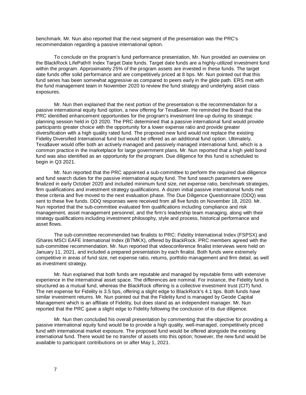benchmark. Mr. Nun also reported that the next segment of the presentation was the PRC's recommendation regarding a passive international option.

To conclude on the program's fund performance presentation, Mr. Nun provided an overview on the BlackRock LifePath® Index Target Date funds. Target date funds are a highly-utilized investment fund within the program. Approximately 25% of the program assets are invested in these funds. The target date funds offer solid performance and are competitively priced at 8 bps. Mr. Nun pointed out that this fund series has been somewhat aggressive as compared to peers early in the glide path. ERS met with the fund management team in November 2020 to review the fund strategy and underlying asset class exposures.

Mr. Nun then explained that the next portion of the presentation is the recommendation for a passive international equity fund option, a new offering for Texa\$aver. He reminded the Board that the PRC identified enhancement opportunities for the program's investment line-up during its strategic planning session held in Q3 2020. The PRC determined that a passive international fund would provide participants greater choice with the opportunity for a lower expense ratio and provide greater diversification with a high quality rated fund. The proposed new fund would not replace the existing Fidelity Diversified International fund but would be offered as an additional fund option. Ultimately, Texa\$aver would offer both an actively managed and passively managed international fund, which is a common practice in the marketplace for large government plans. Mr. Nun reported that a high yield bond fund was also identified as an opportunity for the program. Due diligence for this fund is scheduled to begin in Q3 2021.

Mr. Nun reported that the PRC appointed a sub-committee to perform the required due diligence and fund search duties for the passive international equity fund. The fund search parameters were finalized in early October 2020 and included minimum fund size, net expense ratio, benchmark strategies, firm qualifications and investment strategy qualifications. A dozen initial passive international funds met these criteria and five moved to the next evaluation phase. The Due Diligence Questionnaire (DDQ) was sent to these five funds. DDQ responses were received from all five funds on November 18, 2020. Mr. Nun reported that the sub-committee evaluated firm qualifications including compliance and risk management, asset management personnel, and the firm's leadership team managing, along with their strategy qualifications including investment philosophy, style and process, historical performance and asset flows.

The sub-committee recommended two finalists to PRC: Fidelity International Index (FSPSX) and iShares MSCI EAFE International Index (BTMKX), offered by BlackRock. PRC members agreed with the sub-committee recommendation. Mr. Nun reported that videoconference finalist interviews were held on January 11, 2021, and included a prepared presentation by each finalist. Both funds were extremely competitive in areas of fund size, net expense ratio, returns, portfolio management and firm detail, as well as investment strategy.

Mr. Nun explained that both funds are reputable and managed by reputable firms with extensive experience in the international asset space. The differences are nominal. For instance, the Fidelity fund is structured as a mutual fund, whereas the BlackRock offering is a collective investment trust (CIT) fund. The net expense for Fidelity is 3.5 bps, offering a slight edge to BlackRock's 4.1 bps. Both funds have similar investment returns. Mr. Nun pointed out that the Fidelity fund is managed by Geode Capital Management which is an affiliate of Fidelity, but does stand as an independent manager. Mr. Nun reported that the PRC gave a slight edge to Fidelity following the conclusion of its due diligence.

Mr. Nun then concluded his overall presentation by commenting that the objective for providing a passive international equity fund would be to provide a high quality, well-managed, competitively priced fund with international market exposure. The proposed fund would be offered alongside the existing international fund. There would be no transfer of assets into this option; however, the new fund would be available to participant contributions on or after May 1, 2021.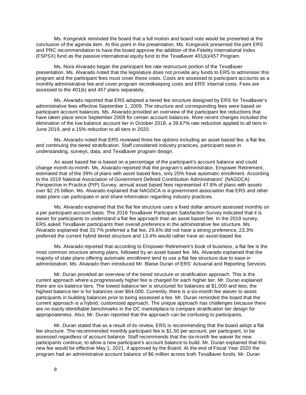Ms. Kongevick reminded the board that a full motion and board vote would be presented at the conclusion of the agenda item. At this point in the presentation, Ms. Kongevick presented the joint ERS and PRC recommendation to have the board approve the addition of the Fidelity International Index (FSPSX) fund as the passive international equity fund to the Texa\$aver 401(k)/457 Program.

Ms. Nora Alvarado began the participant fee rate restructure portion of the Texa\$aver presentation. Ms. Alvarado noted that the legislature does not provide any funds to ERS to administer this program and the participant fees must cover these costs. Costs are assessed to participant accounts as a monthly administrative fee and cover program recordkeeping costs and ERS' internal costs. Fees are assessed to the 401(k) and 457 plans separately.

Ms. Alvarado reported that ERS adopted a tiered fee structure designed by ERS for Texa\$aver's administrative fees effective September 1, 2009. The structure and corresponding fees were based on participant account balances. Ms. Alvarado provided an overview of the participant fee reductions that have taken place since September 2009 for certain account balances. More recent changes included the elimination of the low balance account tier in October 2018, a 39.67% rate reduction applied to all tiers in June 2019, and a 15% reduction to all tiers in 2020.

Ms. Alvarado noted that ERS reviewed three fee options including an asset based fee, a flat fee, and continuing the tiered stratification. Staff considered industry practices, participant ease in understanding, surveys, data, and Texa\$aver program design.

An asset based fee is based on a percentage of the participant's account balance and could change month-to-month. Ms. Alvarado reported that the program's administrator, Empower Retirement, estimated that of the 39% of plans with asset based fees, only 25% have automatic enrollment. According to the 2019 National Association of Government Defined Contribution Administrators' (NAGDCA) Perspective in Practice (PIP) Survey, annual asset based fees represented 47.8% of plans with assets over \$2.25 billion. Ms. Alvarado explained that NAGDCA is a government association that ERS and other state plans can participate in and share information regarding industry practices.

Ms. Alvarado explained that the flat fee structure uses a fixed dollar amount assessed monthly on a per participant account basis. The 2018 Texa\$aver Participant Satisfaction Survey indicated that it is easier for participants to understand a flat fee approach than an asset based fee. In the 2019 survey, ERS asked Texa\$aver participants their overall preference in the administrative fee structure. Ms. Alvarado explained that 33.7% preferred a flat fee, 29.6% did not have a strong preference, 23.3% preferred the current hybrid tiered structure and 13.4% would rather have an asset-based fee.

Ms. Alvarado reported that according to Empower Retirement's book of business, a flat fee is the most common structure among plans, followed by an asset based fee. Ms. Alvarado explained that the majority of state plans offering automatic enrollment tend to use a flat fee structure due to ease in administration. Ms. Alvarado then introduced Mr. Blaise Duran of ERS' Actuarial and Reporting Services.

Mr. Duran provided an overview of the tiered structure or stratification approach. This is the current approach where a progressively higher fee is charged for each higher tier. Mr. Duran explained there are six balance tiers. The lowest balance tier is structured for balances at \$1,000 and less; the highest balance tier is for balances over \$64,000. Currently, there is a six-month fee waiver to assist participants in building balances prior to being assessed a fee. Mr. Duran reminded the board that the current approach is a hybrid, customized approach. The unique approach has challenges because there are no easily identifiable benchmarks in the DC marketplace to compare stratification tier design for appropriateness. Also, Mr. Duran reported that the approach can be confusing to participants.

Mr. Duran stated that as a result of its review, ERS is recommending that the board adopt a flat fee structure. The recommended monthly participant fee is \$1.50 per account, per participant, to be assessed regardless of account balance. Staff recommends that the six-month fee waiver for new participants continue, to allow a new participant's account balance to build. Mr. Duran explained that this new fee would be effective May 1, 2021, if approved by the Board. At the end of Fiscal Year 2020 the program had an administrative account balance of \$6 million across both Texa\$aver funds. Mr. Duran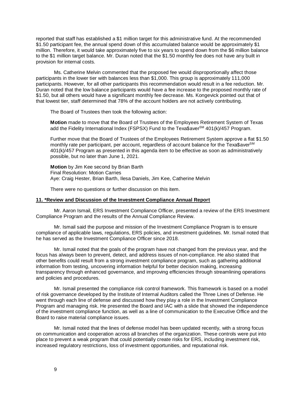reported that staff has established a \$1 million target for this administrative fund. At the recommended \$1.50 participant fee, the annual spend down of this accumulated balance would be approximately \$1 million. Therefore, it would take approximately five to six years to spend down from the \$6 million balance to the \$1 million target balance. Mr. Duran noted that the \$1.50 monthly fee does not have any built in provision for internal costs.

Ms. Catherine Melvin commented that the proposed fee would disproportionally affect those participants in the lower tier with balances less than \$1,000. This group is approximately 111,000 participants. However, for all other participants this recommendation would result in a fee reduction. Mr. Duran noted that the low balance participants would have a fee increase to the proposed monthly rate of \$1.50, but all others would have a significant monthly fee decrease. Ms. Kongevick pointed out that of that lowest tier, staff determined that 78% of the account holders are not actively contributing.

The Board of Trustees then took the following action:

**Motion** made to move that the Board of Trustees of the Employees Retirement System of Texas add the Fidelity International Index (FSPSX) Fund to the Texa\$aver<sup>SM</sup> 401(k)/457 Program.

Further move that the Board of Trustees of the Employees Retirement System approve a flat \$1.50 monthly rate per participant, per account, regardless of account balance for the Texa\$averSM 401(k)/457 Program as presented in this agenda item to be effective as soon as administratively possible, but no later than June 1, 2021.

**Motion** by Jim Kee second by Brian Barth Final Resolution: Motion Carries Aye: Craig Hester, Brian Barth, Ilesa Daniels, Jim Kee, Catherine Melvin

There were no questions or further discussion on this item.

#### <span id="page-10-0"></span>**11. \*Review and Discussion of the Investment Compliance Annual Report**

Mr. Aaron Ismail, ERS Investment Compliance Officer, presented a review of the ERS Investment Compliance Program and the results of the Annual Compliance Review.

Mr. Ismail said the purpose and mission of the Investment Compliance Program is to ensure compliance of applicable laws, regulations, ERS policies, and investment guidelines. Mr. Ismail noted that he has served as the Investment Compliance Officer since 2018.

Mr. Ismail noted that the goals of the program have not changed from the previous year, and the focus has always been to prevent, detect, and address issues of non-compliance. He also stated that other benefits could result from a strong investment compliance program, such as gathering additional information from testing, uncovering information helpful for better decision making, increasing transparency through enhanced governance, and improving efficiencies through streamlining operations and policies and procedures.

Mr. Ismail presented the compliance risk control framework. This framework is based on a model of risk governance developed by the Institute of Internal Auditors called the Three Lines of Defense. He went through each line of defense and discussed how they play a role in the Investment Compliance Program and managing risk. He presented the Board and IAC with a slide that showed the independence of the investment compliance function, as well as a line of communication to the Executive Office and the Board to raise material compliance issues.

Mr. Ismail noted that the lines of defense model has been updated recently, with a strong focus on communication and cooperation across all branches of the organization. These controls were put into place to prevent a weak program that could potentially create risks for ERS, including investment risk, increased regulatory restrictions, loss of investment opportunities, and reputational risk.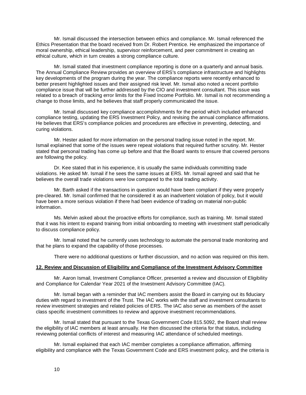Mr. Ismail discussed the intersection between ethics and compliance. Mr. Ismail referenced the Ethics Presentation that the board received from Dr. Robert Prentice. He emphasized the importance of moral ownership, ethical leadership, supervisor reinforcement, and peer commitment in creating an ethical culture, which in turn creates a strong compliance culture.

Mr. Ismail stated that investment compliance reporting is done on a quarterly and annual basis. The Annual Compliance Review provides an overview of ERS's compliance infrastructure and highlights key developments of the program during the year. The compliance reports were recently enhanced to better present highlighted issues and their assigned risk level. Mr. Ismail also noted a recent portfolio compliance issue that will be further addressed by the CIO and investment consultant. This issue was related to a breach of tracking error limits for the Fixed Income Portfolio. Mr. Ismail is not recommending a change to those limits, and he believes that staff properly communicated the issue.

Mr. Ismail discussed key compliance accomplishments for the period which included enhanced compliance testing, updating the ERS Investment Policy, and revising the annual compliance affirmations. He believes that ERS's compliance policies and procedures are effective in preventing, detecting, and curing violations.

Mr. Hester asked for more information on the personal trading issue noted in the report. Mr. Ismail explained that some of the issues were repeat violations that required further scrutiny. Mr. Hester stated that personal trading has come up before and that the Board wants to ensure that covered persons are following the policy.

Dr. Kee stated that in his experience, it is usually the same individuals committing trade violations. He asked Mr. Ismail if he sees the same issues at ERS. Mr. Ismail agreed and said that he believes the overall trade violations were low compared to the total trading activity.

Mr. Barth asked if the transactions in question would have been compliant if they were properly pre-cleared. Mr. Ismail confirmed that he considered it as an inadvertent violation of policy, but it would have been a more serious violation if there had been evidence of trading on material non-public information.

Ms. Melvin asked about the proactive efforts for compliance, such as training. Mr. Ismail stated that it was his intent to expand training from initial onboarding to meeting with investment staff periodically to discuss compliance policy.

Mr. Ismail noted that he currently uses technology to automate the personal trade monitoring and that he plans to expand the capability of those processes.

There were no additional questions or further discussion, and no action was required on this item.

#### <span id="page-11-0"></span>**12. Review and Discussion of Eligibility and Compliance of the Investment Advisory Committee**

Mr. Aaron Ismail, Investment Compliance Officer, presented a review and discussion of Eligibility and Compliance for Calendar Year 2021 of the Investment Advisory Committee (IAC).

Mr. Ismail began with a reminder that IAC members assist the Board in carrying out its fiduciary duties with regard to investment of the Trust. The IAC works with the staff and investment consultants to review investment strategies and related policies of ERS. The IAC also serve as members of the asset class specific investment committees to review and approve investment recommendations.

Mr. Ismail stated that pursuant to the Texas Government Code 815.5092, the Board shall review the eligibility of IAC members at least annually. He then discussed the criteria for that status, including reviewing potential conflicts of interest and measuring IAC attendance of scheduled meetings.

Mr. Ismail explained that each IAC member completes a compliance affirmation, affirming eligibility and compliance with the Texas Government Code and ERS investment policy, and the criteria is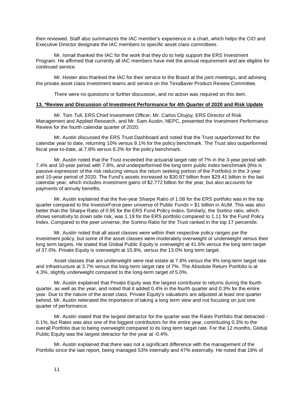then reviewed. Staff also summarizes the IAC member's experience in a chart, which helps the CIO and Executive Director designate the IAC members to specific asset class committees.

Mr. Ismail thanked the IAC for the work that they do to help support the ERS Investment Program. He affirmed that currently all IAC members have met the annual requirement and are eligible for continued service.

Mr. Hester also thanked the IAC for their service to the Board at the joint meetings, and advising the private asset class investment teams and service on the Texa\$aver Product Review Committee.

There were no questions or further discussion, and no action was required on this item.

#### <span id="page-12-0"></span>**13. \*Review and Discussion of Investment Performance for 4th Quarter of 2020 and Risk Update**

Mr. Tom Tull, ERS Chief Investment Officer, Mr. Carlos Chujoy, ERS Director of Risk Management and Applied Research, and Mr. Sam Austin, NEPC, presented the Investment Performance Review for the fourth calendar quarter of 2020.

Mr. Austin discussed the ERS Trust Dashboard and noted that the Trust outperformed for the calendar year to date, returning 10% versus 9.1% for the policy benchmark. The Trust also outperformed fiscal year-to-date, at 7.8% versus 6.2% for the policy benchmark.

Mr. Austin noted that the Trust exceeded the actuarial target rate of 7% in the 3-year period with 7.4% and 10-year period with 7.8%, and underperformed the long term public index benchmark (this is passive expression of the risk reducing versus the return seeking portion of the Portfolio) in the 3-year and 10-year period of 2020. The Fund's assets increased to \$30.87 billion from \$29.41 billion in the last calendar year, which includes investment gains of \$2.772 billion for the year, but also accounts for payments of annuity benefits.

Mr. Austin explained that the five-year Sharpe Ratio of 1.08 for the ERS portfolio was in the top quarter compared to the InvestorForce peer universe of Public Funds > \$1 billion in AUM. This was also better than the Sharpe Ratio of 0.95 for the ERS Fund Policy Index. Similarly, the Sortino ratio, which shows sensitivity to down side risk, was 1.19 for the ERS portfolio compared to 1.11 for the Fund Policy Index. Compared to the peer universe, the Sortino Ratio for the Trust ranked in the top 17 percentile.

Mr. Austin noted that all asset classes were within their respective policy ranges per the investment policy, but some of the asset classes were moderately overweight or underweight versus their long term targets. He stated that Global Public Equity is overweight at 41.6% versus the long term target of 37.0%. Private Equity is overweight at 15.8%, versus the 13.0% long term target.

Asset classes that are underweight were real estate at 7.8% versus the 9% long-term target rate and Infrastructure at 3.7% versus the long-term target rate of 7%. The Absolute Return Portfolio is at 4.3%, slightly underweight compared to the long-term target of 5.0%.

Mr. Austin explained that Private Equity was the largest contributor to returns during the fourth quarter, as well as the year, and noted that it added 0.4% in the fourth quarter and 0.3% for the entire year. Due to the nature of the asset class, Private Equity's valuations are adjusted at least one quarter behind. Mr. Austin reiterated the importance of taking a long term view and not focusing on just one quarter of performance.

Mr. Austin stated that the largest detractor for the quarter was the Rates Portfolio that detracted - 0.1%, but Rates was also one of the biggest contributors for the entire year, contributing 0.3% to the overall Portfolio due to being overweight compared to its long term target rate. For the 12 months, Global Public Equity was the largest detractor for the year at -0.4%.

Mr. Austin explained that there was not a significant difference with the management of the Portfolio since the last report, being managed 53% internally and 47% externally. He noted that 18% of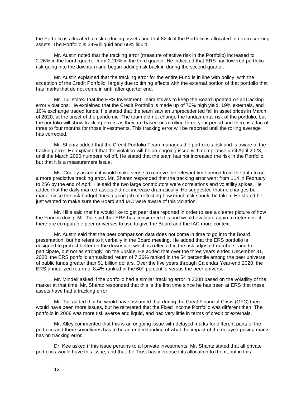the Portfolio is allocated to risk reducing assets and that 82% of the Portfolio is allocated to return seeking assets. The Portfolio is 34% illiquid and 66% liquid.

Mr. Austin noted that the tracking error (measure of active risk in the Portfolio) increased to 2.26% in the fourth quarter from 2.20% in the third quarter. He indicated that ERS had lowered portfolio risk going into the downturn and began adding risk back in during the second quarter.

Mr. Austin explained that the tracking error for the entire Fund is in line with policy, with the exception of the Credit Portfolio, largely due to timing effects with the external portion of that portfolio that has marks that do not come in until after quarter end.

Mr. Tull stated that the ERS Investment Team strives to keep the Board updated on all tracking error violations. He explained that the Credit Portfolio is made up of 70% high yield, 19% externals, and 10% exchange traded funds. He stated that the team saw an unprecedented fall in asset prices in March of 2020, at the onset of the pandemic. The team did not change the fundamental risk of the portfolio, but the portfolio will show tracking errors as they are based on a rolling three-year period and there is a lag of three to four months for those investments. This tracking error will be reported until the rolling average has corrected.

Mr. Shantz added that the Credit Portfolio Team manages the portfolio's risk and is aware of the tracking error. He explained that the violation will be an ongoing issue with compliance until April 2023, until the March 2020 numbers roll off. He stated that the team has not increased the risk in the Portfolio, but that it is a measurement issue.

Ms. Cooley asked if it would make sense to remove the relevant time period from the data to get a more predictive tracking error. Mr. Shantz responded that the tracking error went from 114 in February to 256 by the end of April. He said the two large contributors were correlations and volatility spikes. He added that the daily marked assets did not increase dramatically. He suggested that no changes be made, since the risk budget does a good job of reflecting how much risk should be taken. He stated he just wanted to make sure the Board and IAC were aware of this violation.

Mr. Hille said that he would like to get peer data reported in order to see a clearer picture of how the Fund is doing. Mr. Tull said that ERS has considered this and would evaluate again to determine if there are comparable peer universes to use to give the Board and the IAC more context.

Mr. Austin said that the peer comparison data does not come in time to go into the Board presentation, but he refers to it verbally in the Board meeting. He added that the ERS portfolio is designed to protect better on the downside, which is reflected in the risk adjusted numbers, and to participate, but not as strongly, on the upside. He added that over the three years ended December 31, 2020, the ERS portfolio annualized return of 7.36% ranked in the 54 percentile among the peer universe of public funds greater than \$1 billion dollars. Over the five years through Calendar Year-end 2020, the ERS annualized return of 8.4% ranked in the  $60<sup>th</sup>$  percentile versus the peer universe.

Mr. Mindell asked if the portfolio had a similar tracking error in 2008 based on the volatility of the market at that time. Mr. Shantz responded that this is the first time since he has been at ERS that these assets have had a tracking error.

Mr. Tull added that he would have assumed that during the Great Financial Crisis (GFC) there would have been more issues, but he reiterated that the Fixed Income Portfolio was different then. The portfolio in 2008 was more risk averse and liquid, and had very little in terms of credit or externals.

Mr. Alley commented that this is an ongoing issue with delayed marks for different parts of the portfolio and there sometimes has to be an understanding of what the impact of the delayed pricing marks has on tracking error.

Dr. Kee asked if this issue pertains to all private investments. Mr. Shantz stated that all private portfolios would have this issue, and that the Trust has increased its allocation to them, but in this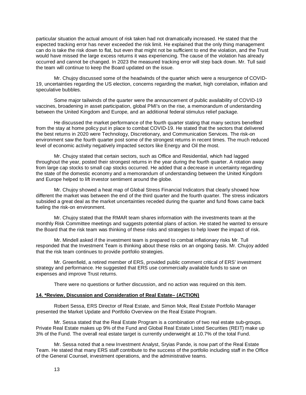particular situation the actual amount of risk taken had not dramatically increased. He stated that the expected tracking error has never exceeded the risk limit. He explained that the only thing management can do is take the risk down to flat, but even that might not be sufficient to end the violation, and the Trust would have missed the large excess returns it was experiencing. The cause of the violation has already occurred and cannot be changed. In 2023 the measured tracking error will step back down. Mr. Tull said the team will continue to keep the Board updated on the issue.

Mr. Chujoy discussed some of the headwinds of the quarter which were a resurgence of COVID-19, uncertainties regarding the US election, concerns regarding the market, high correlation, inflation and speculative bubbles.

Some major tailwinds of the quarter were the announcement of public availability of COVID-19 vaccines, broadening in asset participation, global PMI's on the rise, a memorandum of understanding between the United Kingdom and Europe, and an additional federal stimulus relief package.

He discussed the market performance of the fourth quarter stating that many sectors benefited from the stay at home policy put in place to combat COVID-19. He stated that the sectors that delivered the best returns in 2020 were Technology, Discretionary, and Communication Services. The risk-on environment saw the fourth quarter post some of the strongest returns in recent times. The much reduced level of economic activity negatively impacted sectors like Energy and Oil the most.

Mr. Chujoy stated that certain sectors, such as Office and Residential, which had lagged throughout the year, posted their strongest returns in the year during the fourth quarter. A rotation away from large cap stocks to small cap stocks occurred. He added that a decrease in uncertainty regarding the state of the domestic economy and a memorandum of understanding between the United Kingdom and Europe helped to lift investor sentiment around the globe.

Mr. Chujoy showed a heat map of Global Stress Financial Indicators that clearly showed how different the market was between the end of the third quarter and the fourth quarter. The stress indicators subsided a great deal as the market uncertainties receded during the quarter and fund flows came back fueling the risk-on environment.

Mr. Chujoy stated that the RMAR team shares information with the investments team at the monthly Risk Committee meetings and suggests potential plans of action. He stated he wanted to ensure the Board that the risk team was thinking of these risks and strategies to help lower the impact of risk.

Mr. Mindell asked if the investment team is prepared to combat inflationary risks Mr. Tull responded that the Investment Team is thinking about these risks on an ongoing basis. Mr. Chujoy added that the risk team continues to provide portfolio strategies.

Mr. Greenfield, a retired member of ERS, provided public comment critical of ERS' investment strategy and performance. He suggested that ERS use commercially available funds to save on expenses and improve Trust returns.

There were no questions or further discussion, and no action was required on this item.

#### <span id="page-14-0"></span>**14. \*Review, Discussion and Consideration of Real Estate– (ACTION)**

Robert Sessa, ERS Director of Real Estate, and Simon Mok, Real Estate Portfolio Manager presented the Market Update and Portfolio Overview on the Real Estate Program.

Mr. Sessa stated that the Real Estate Program is a combination of two real estate sub-groups. Private Real Estate makes up 9% of the Fund and Global Real Estate Listed Securities (REIT) make up 3% of the Fund. The overall real estate target is currently underweight at 10.7% of the total Fund.

Mr. Sessa noted that a new Investment Analyst, Sryias Pande, is now part of the Real Estate Team. He stated that many ERS staff contribute to the success of the portfolio including staff in the Office of the General Counsel, investment operations, and the administrative teams.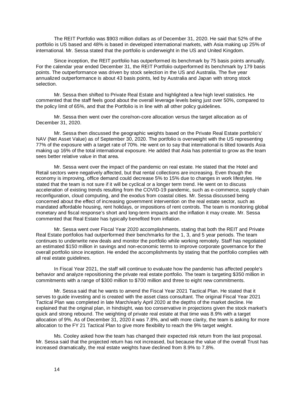The REIT Portfolio was \$903 million dollars as of December 31, 2020. He said that 52% of the portfolio is US based and 48% is based in developed international markets, with Asia making up 25% of international. Mr. Sessa stated that the portfolio is underweight in the US and United Kingdom.

Since inception, the REIT portfolio has outperformed its benchmark by 75 basis points annually. For the calendar year ended December 31, the REIT Portfolio outperformed its benchmark by 179 basis points. The outperformance was driven by stock selection in the US and Australia. The five year annualized outperformance is about 43 basis points, led by Australia and Japan with strong stock selection.

Mr. Sessa then shifted to Private Real Estate and highlighted a few high level statistics. He commented that the staff feels good about the overall leverage levels being just over 50%, compared to the policy limit of 65%, and that the Portfolio is in line with all other policy guidelines.

Mr. Sessa then went over the core/non-core allocation versus the target allocation as of December 31, 2020.

Mr. Sessa then discussed the geographic weights based on the Private Real Estate portfolio's' NAV (Net Asset Value) as of September 30, 2020. The portfolio is overweight with the US representing 77% of the exposure with a target rate of 70%. He went on to say that international is tilted towards Asia making up 16% of the total international exposure. He added that Asia has potential to grow as the team sees better relative value in that area.

Mr. Sessa went over the impact of the pandemic on real estate. He stated that the Hotel and Retail sectors were negatively affected, but that rental collections are increasing. Even though the economy is improving, office demand could decrease 5% to 15% due to changes in work lifestyles. He stated that the team is not sure if it will be cyclical or a longer term trend. He went on to discuss acceleration of existing trends resulting from the COVID-19 pandemic, such as e-commerce, supply chain reconfiguration, cloud computing, and the exodus from coastal cities. Mr. Sessa discussed being concerned about the effect of increasing government intervention on the real estate sector, such as mandated affordable housing, rent holidays, or impositions of rent controls. The team is monitoring global monetary and fiscal response's short and long-term impacts and the inflation it may create. Mr. Sessa commented that Real Estate has typically benefited from inflation.

Mr. Sessa went over Fiscal Year 2020 accomplishments, stating that both the REIT and Private Real Estate portfolios had outperformed their benchmarks for the 1, 3, and 5 year periods. The team continues to underwrite new deals and monitor the portfolio while working remotely. Staff has negotiated an estimated \$150 million in savings and non-economic terms to improve corporate governance for the overall portfolio since inception. He ended the accomplishments by stating that the portfolio complies with all real estate guidelines.

In Fiscal Year 2021, the staff will continue to evaluate how the pandemic has affected people's behavior and analyze repositioning the private real estate portfolio. The team is targeting \$350 million in commitments with a range of \$300 million to \$700 million and three to eight new commitments.

Mr. Sessa said that he wants to amend the Fiscal Year 2021 Tactical Plan. He stated that it serves to guide investing and is created with the asset class consultant. The original Fiscal Year 2021 Tactical Plan was completed in late March/early April 2020 at the depths of the market decline. He explained that the original plan, in hindsight, was too conservative in projections given the stock market's quick and strong rebound. The weighting of private real estate at that time was 8.9% with a target allocation of 9%. As of December 31, 2020 it was 7.8%, and with more clarity, the team is asking for more allocation to the FY 21 Tactical Plan to give more flexibility to reach the 9% target weight.

Ms. Cooley asked how the team has changed their expected risk return from the last proposal. Mr. Sessa said that the projected return has not increased, but because the value of the overall Trust has increased dramatically, the real estate weights have declined from 8.9% to 7.8%.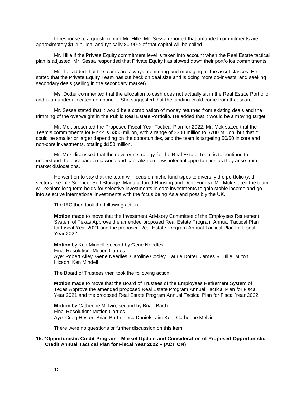In response to a question from Mr. Hille, Mr. Sessa reported that unfunded commitments are approximately \$1.4 billion, and typically 80-90% of that capital will be called.

Mr. Hille if the Private Equity commitment level is taken into account when the Real Estate tactical plan is adjusted. Mr. Sessa responded that Private Equity has slowed down their portfolios commitments.

Mr. Tull added that the teams are always monitoring and managing all the asset classes. He stated that the Private Equity Team has cut back on deal size and is doing more co-invests, and seeking secondary deals (selling in the secondary market).

Ms. Dotter commented that the allocation to cash does not actually sit in the Real Estate Portfolio and is an under allocated component. She suggested that the funding could come from that source.

Mr. Sessa stated that it would be a combination of money returned from existing deals and the trimming of the overweight in the Public Real Estate Portfolio. He added that it would be a moving target.

Mr. Mok presented the Proposed Fiscal Year Tactical Plan for 2022. Mr. Mok stated that the Team's commitments for FY22 is \$350 million, with a range of \$300 million to \$700 million, but that it could be smaller or larger depending on the opportunities, and the team is targeting 50/50 in core and non-core investments, totaling \$150 million.

Mr. Mok discussed that the new term strategy for the Real Estate Team is to continue to understand the post pandemic world and capitalize on new potential opportunities as they arise from market dislocations.

He went on to say that the team will focus on niche fund types to diversify the portfolio (with sectors like Life Science, Self-Storage, Manufactured Housing and Debt Funds). Mr. Mok stated the team will explore long term holds for selective investments in core investments to gain stable income and go into selective international investments with the focus being Asia and possibly the UK.

The IAC then took the following action:

**Motion** made to move that the Investment Advisory Committee of the Employees Retirement System of Texas Approve the amended proposed Real Estate Program Annual Tactical Plan for Fiscal Year 2021 and the proposed Real Estate Program Annual Tactical Plan for Fiscal Year 2022.

**Motion** by Ken Mindell, second by Gene Needles Final Resolution: Motion Carries Aye: Robert Alley, Gene Needles, Caroline Cooley, Laurie Dotter, James R. Hille, Milton Hixson, Ken Mindell

The Board of Trustees then took the following action:

**Motion** made to move that the Board of Trustees of the Employees Retirement System of Texas Approve the amended proposed Real Estate Program Annual Tactical Plan for Fiscal Year 2021 and the proposed Real Estate Program Annual Tactical Plan for Fiscal Year 2022.

**Motion** by Catherine Melvin, second by Brian Barth Final Resolution: Motion Carries Aye: Craig Hester, Brian Barth, Ilesa Daniels, Jim Kee, Catherine Melvin

There were no questions or further discussion on this item.

#### <span id="page-16-0"></span>**15. \*Opportunistic Credit Program - Market Update and Consideration of Proposed Opportunistic Credit Annual Tactical Plan for Fiscal Year 2022 – (ACTION)**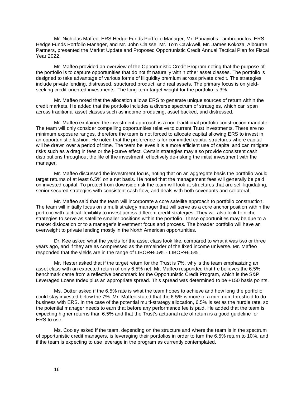Mr. Nicholas Maffeo, ERS Hedge Funds Portfolio Manager, Mr. Panayiotis Lambropoulos, ERS Hedge Funds Portfolio Manager, and Mr. John Claisse, Mr. Tom Cawkwell, Mr. James Kokoza, Albourne Partners, presented the Market Update and Proposed Opportunistic Credit Annual Tactical Plan for Fiscal Year 2022.

Mr. Maffeo provided an overview of the Opportunistic Credit Program noting that the purpose of the portfolio is to capture opportunities that do not fit naturally within other asset classes. The portfolio is designed to take advantage of various forms of illiquidity premium across private credit. The strategies include private lending, distressed, structured product, and real assets. The primary focus is on yieldseeking credit-oriented investments. The long-term target weight for the portfolio is 3%.

Mr. Maffeo noted that the allocation allows ERS to generate unique sources of return within the credit markets. He added that the portfolio includes a diverse spectrum of strategies, which can span across traditional asset classes such as income producing, asset backed, and distressed.

Mr. Maffeo explained the investment approach is a non-traditional portfolio construction mandate. The team will only consider compelling opportunities relative to current Trust investments. There are no minimum exposure ranges, therefore the team is not forced to allocate capital allowing ERS to invest in an opportunistic fashion. He noted that the preference is for committed capital structures where capital will be drawn over a period of time. The team believes it is a more efficient use of capital and can mitigate risks such as a drag in fees or the j-curve effect. Certain strategies may also provide consistent cash distributions throughout the life of the investment, effectively de-risking the initial investment with the manager.

Mr. Maffeo discussed the investment focus, noting that on an aggregate basis the portfolio would target returns of at least 6.5% on a net basis. He noted that the management fees will generally be paid on invested capital. To protect from downside risk the team will look at structures that are self-liquidating, senior secured strategies with consistent cash flow, and deals with both covenants and collateral.

Mr. Maffeo said that the team will incorporate a core satellite approach to portfolio construction. The team will initially focus on a multi strategy manager that will serve as a core anchor position within the portfolio with tactical flexibility to invest across different credit strategies. They will also look to niche strategies to serve as satellite smaller positions within the portfolio. These opportunities may be due to a market dislocation or to a manager's investment focus and process. The broader portfolio will have an overweight to private lending mostly in the North American opportunities.

Dr. Kee asked what the yields for the asset class look like, compared to what it was two or three years ago, and if they are as compressed as the remainder of the fixed income universe. Mr. Maffeo responded that the yields are in the range of LIBOR+5.5% - LIBOR+6.5%.

Mr. Hester asked that if the target return for the Trust is 7%, why is the team emphasizing an asset class with an expected return of only 6.5% net. Mr. Maffeo responded that he believes the 6.5% benchmark came from a reflective benchmark for the Opportunistic Credit Program, which is the S&P Leveraged Loans Index plus an appropriate spread. This spread was determined to be +150 basis points.

Ms. Dotter asked if the 6.5% rate is what the team hopes to achieve and how long the portfolio could stay invested below the 7%. Mr. Maffeo stated that the 6.5% is more of a minimum threshold to do business with ERS. In the case of the potential multi-strategy allocation, 6.5% is set as the hurdle rate, so the potential manager needs to earn that before any performance fee is paid. He added that the team is expecting higher returns than 6.5% and that the Trust's actuarial rate of return is a good guideline for ERS to use.

Ms. Cooley asked if the team, depending on the structure and where the team is in the spectrum of opportunistic credit managers, is leveraging their portfolios in order to turn the 6.5% return to 10%, and if the team is expecting to use leverage in the program as currently contemplated.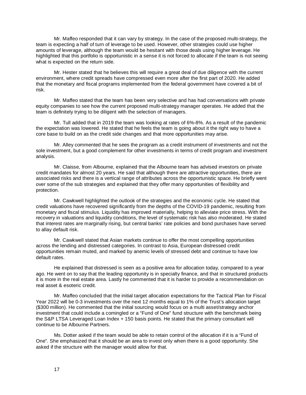Mr. Maffeo responded that it can vary by strategy. In the case of the proposed multi-strategy, the team is expecting a half of turn of leverage to be used. However, other strategies could use higher amounts of leverage, although the team would be hesitant with those deals using higher leverage. He highlighted that this portfolio is opportunistic in a sense it is not forced to allocate if the team is not seeing what is expected on the return side.

Mr. Hester stated that he believes this will require a great deal of due diligence with the current environment, where credit spreads have compressed even more after the first part of 2020. He added that the monetary and fiscal programs implemented from the federal government have covered a bit of risk.

Mr. Maffeo stated that the team has been very selective and has had conversations with private equity companies to see how the current proposed multi-strategy manager operates. He added that the team is definitely trying to be diligent with the selection of managers.

Mr. Tull added that in 2019 the team was looking at rates of 6%-8%. As a result of the pandemic the expectation was lowered. He stated that he feels the team is going about it the right way to have a core base to build on as the credit side changes and that more opportunities may arise.

Mr. Alley commented that he sees the program as a credit instrument of investments and not the sole investment, but a good complement for other investments in terms of credit program and investment analysis.

Mr. Claisse, from Albourne, explained that the Albourne team has advised investors on private credit mandates for almost 20 years. He said that although there are attractive opportunities, there are associated risks and there is a vertical range of attributes across the opportunistic space. He briefly went over some of the sub strategies and explained that they offer many opportunities of flexibility and protection.

Mr. Cawkwell highlighted the outlook of the strategies and the economic cycle. He stated that credit valuations have recovered significantly from the depths of the COVID-19 pandemic, resulting from monetary and fiscal stimulus. Liquidity has improved materially, helping to alleviate price stress. With the recovery in valuations and liquidity conditions, the level of systematic risk has also moderated. He stated that interest rates are marginally rising, but central banks' rate policies and bond purchases have served to allay default risk.

Mr. Cawkwell stated that Asian markets continue to offer the most compelling opportunities across the lending and distressed categories. In contrast to Asia, European distressed credit opportunities remain muted, and marked by anemic levels of stressed debt and continue to have low default rates.

He explained that distressed is seen as a positive area for allocation today, compared to a year ago. He went on to say that the leading opportunity is in specialty finance, and that in structured products it is more in the real estate area. Lastly he commented that it is harder to provide a recommendation on real asset & esoteric credit.

Mr. Maffeo concluded that the initial target allocation expectations for the Tactical Plan for Fiscal Year 2022 will be 0-3 investments over the next 12 months equal to 1% of the Trust's allocation target (\$300 million). He commented that the initial sourcing would focus on a multi asset/strategy anchor investment that could include a comingled or a "Fund of One" fund structure with the benchmark being the S&P LTSA Leveraged Loan Index + 150 basis points. He stated that the primary consultant will continue to be Albourne Partners.

Ms. Dotter asked if the team would be able to retain control of the allocation if it is a "Fund of One". She emphasized that it should be an area to invest only when there is a good opportunity. She asked if the structure with the manager would allow for that.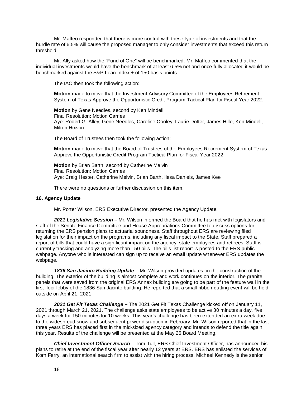Mr. Maffeo responded that there is more control with these type of investments and that the hurdle rate of 6.5% will cause the proposed manager to only consider investments that exceed this return threshold.

Mr. Ally asked how the "Fund of One" will be benchmarked. Mr. Maffeo commented that the individual investments would have the benchmark of at least 6.5% net and once fully allocated it would be benchmarked against the S&P Loan Index + of 150 basis points.

The IAC then took the following action:

**Motion** made to move that the Investment Advisory Committee of the Employees Retirement System of Texas Approve the Opportunistic Credit Program Tactical Plan for Fiscal Year 2022.

**Motion** by Gene Needles, second by Ken Mindell Final Resolution: Motion Carries Aye: Robert G. Alley, Gene Needles, Caroline Cooley, Laurie Dotter, James Hille, Ken Mindell, Milton Hixson

The Board of Trustees then took the following action:

**Motion** made to move that the Board of Trustees of the Employees Retirement System of Texas Approve the Opportunistic Credit Program Tactical Plan for Fiscal Year 2022.

**Motion** by Brian Barth, second by Catherine Melvin Final Resolution: Motion Carries Aye: Craig Hester, Catherine Melvin, Brian Barth, Ilesa Daniels, James Kee

There were no questions or further discussion on this item.

#### <span id="page-19-0"></span>**16. Agency Update**

Mr. Porter Wilson, ERS Executive Director, presented the Agency Update.

*2021 Legislative Session –* Mr. Wilson informed the Board that he has met with legislators and staff of the Senate Finance Committee and House Appropriations Committee to discuss options for returning the ERS pension plans to actuarial soundness. Staff throughout ERS are reviewing filed legislation for their impact on the programs, including any fiscal impact to the State. Staff prepared a report of bills that could have a significant impact on the agency, state employees and retirees. Staff is currently tracking and analyzing more than 150 bills. The bills list report is posted to the ERS public webpage. Anyone who is interested can sign up to receive an email update whenever ERS updates the webpage.

*1836 San Jacinto Building Update –* Mr. Wilson provided updates on the construction of the building. The exterior of the building is almost complete and work continues on the interior. The granite panels that were saved from the original ERS Annex building are going to be part of the feature wall in the first floor lobby of the 1836 San Jacinto building. He reported that a small ribbon-cutting event will be held outside on April 21, 2021.

*2021 Get Fit Texas Challenge –* The 2021 Get Fit Texas Challenge kicked off on January 11, 2021 through March 21, 2021. The challenge asks state employees to be active 30 minutes a day, five days a week for 150 minutes for 10 weeks. This year's challenge has been extended an extra week due to the widespread snow and subsequent power disruption in February. Mr. Wilson reported that in the last three years ERS has placed first in the mid-sized agency category and intends to defend the title again this year. Results of the challenge will be presented at the May 26 Board Meeting.

*Chief Investment Officer Search –* Tom Tull, ERS Chief Investment Officer, has announced his plans to retire at the end of the fiscal year after nearly 12 years at ERS. ERS has enlisted the services of Korn Ferry, an international search firm to assist with the hiring process. Michael Kennedy is the senior